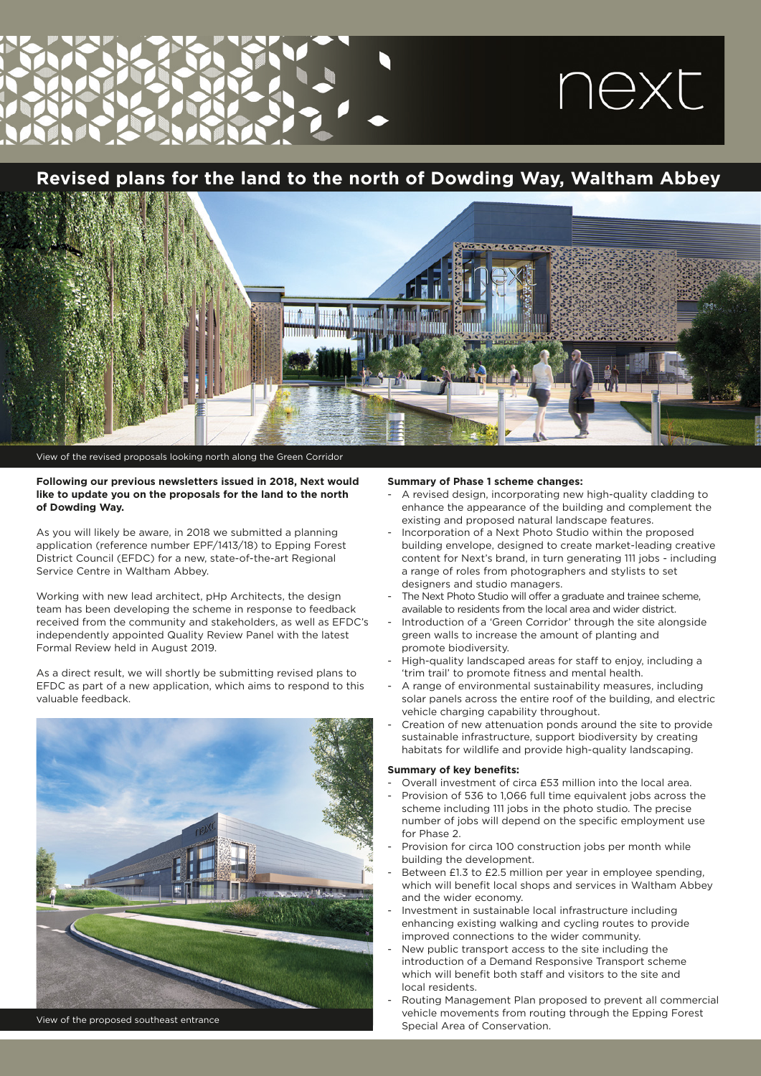# next

### **Revised plans for the land to the north of Dowding Way, Waltham Abbey**



View of the revised proposals looking north along the Green Corridor

### **Following our previous newsletters issued in 2018, Next would like to update you on the proposals for the land to the north of Dowding Way.**

As you will likely be aware, in 2018 we submitted a planning application (reference number EPF/1413/18) to Epping Forest District Council (EFDC) for a new, state-of-the-art Regional Service Centre in Waltham Abbey.

Working with new lead architect, pHp Architects, the design team has been developing the scheme in response to feedback received from the community and stakeholders, as well as EFDC's independently appointed Quality Review Panel with the latest Formal Review held in August 2019.

As a direct result, we will shortly be submitting revised plans to EFDC as part of a new application, which aims to respond to this valuable feedback.



View of the proposed southeast entrance

### **Summary of Phase 1 scheme changes:**

- A revised design, incorporating new high-quality cladding to enhance the appearance of the building and complement the existing and proposed natural landscape features.
- Incorporation of a Next Photo Studio within the proposed building envelope, designed to create market-leading creative content for Next's brand, in turn generating 111 jobs - including a range of roles from photographers and stylists to set designers and studio managers.
- The Next Photo Studio will offer a graduate and trainee scheme, available to residents from the local area and wider district.
- Introduction of a 'Green Corridor' through the site alongside green walls to increase the amount of planting and promote biodiversity.
- High-quality landscaped areas for staff to enjoy, including a 'trim trail' to promote fitness and mental health.
- A range of environmental sustainability measures, including solar panels across the entire roof of the building, and electric vehicle charging capability throughout.
- Creation of new attenuation ponds around the site to provide sustainable infrastructure, support biodiversity by creating habitats for wildlife and provide high-quality landscaping.

### **Summary of key benefits:**

- Overall investment of circa £53 million into the local area.
- Provision of 536 to 1,066 full time equivalent jobs across the scheme including 111 jobs in the photo studio. The precise number of jobs will depend on the specific employment use for Phase 2.
- Provision for circa 100 construction jobs per month while building the development.
- Between £1.3 to £2.5 million per year in employee spending. which will benefit local shops and services in Waltham Abbey and the wider economy.
- Investment in sustainable local infrastructure including enhancing existing walking and cycling routes to provide improved connections to the wider community.
- New public transport access to the site including the introduction of a Demand Responsive Transport scheme which will benefit both staff and visitors to the site and local residents.
- Routing Management Plan proposed to prevent all commercial vehicle movements from routing through the Epping Forest Special Area of Conservation.